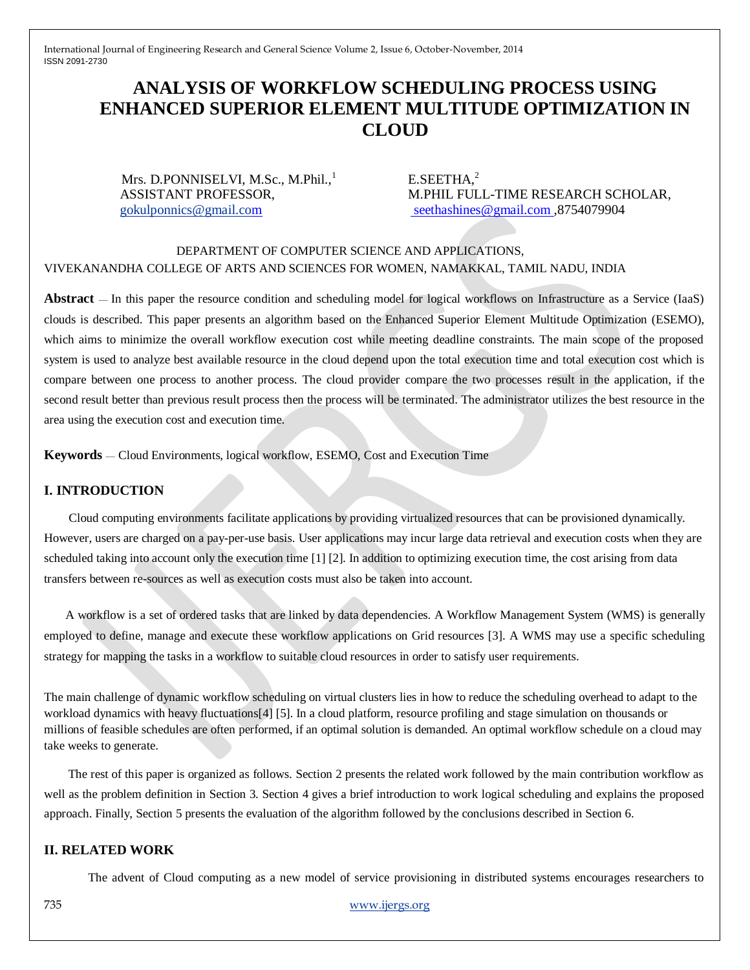# **ANALYSIS OF WORKFLOW SCHEDULING PROCESS USING ENHANCED SUPERIOR ELEMENT MULTITUDE OPTIMIZATION IN CLOUD**

Mrs. D.PONNISELVI, M.Sc., M.Phil., $\frac{1}{1}$  E.SEETHA,<sup>2</sup>

ASSISTANT PROFESSOR, M.PHIL FULL-TIME RESEARCH SCHOLAR, [gokulponnics@gmail.com](mailto:gokulponnics@gmail.co) [seethashines@gmail.com](mailto:seethashines@gmail.com) ,8754079904

### DEPARTMENT OF COMPUTER SCIENCE AND APPLICATIONS, VIVEKANANDHA COLLEGE OF ARTS AND SCIENCES FOR WOMEN, NAMAKKAL, TAMIL NADU, INDIA

**Abstract** — In this paper the resource condition and scheduling model for logical workflows on Infrastructure as a Service (IaaS) clouds is described. This paper presents an algorithm based on the Enhanced Superior Element Multitude Optimization (ESEMO), which aims to minimize the overall workflow execution cost while meeting deadline constraints. The main scope of the proposed system is used to analyze best available resource in the cloud depend upon the total execution time and total execution cost which is compare between one process to another process. The cloud provider compare the two processes result in the application, if the second result better than previous result process then the process will be terminated. The administrator utilizes the best resource in the area using the execution cost and execution time.

**Keywords** — Cloud Environments, logical workflow, ESEMO, Cost and Execution Time

### **I. INTRODUCTION**

 Cloud computing environments facilitate applications by providing virtualized resources that can be provisioned dynamically. However, users are charged on a pay-per-use basis. User applications may incur large data retrieval and execution costs when they are scheduled taking into account only the execution time [1] [2]. In addition to optimizing execution time, the cost arising from data transfers between re-sources as well as execution costs must also be taken into account.

 A workflow is a set of ordered tasks that are linked by data dependencies. A Workflow Management System (WMS) is generally employed to define, manage and execute these workflow applications on Grid resources [3]. A WMS may use a specific scheduling strategy for mapping the tasks in a workflow to suitable cloud resources in order to satisfy user requirements.

The main challenge of dynamic workflow scheduling on virtual clusters lies in how to reduce the scheduling overhead to adapt to the workload dynamics with heavy fluctuations[4] [5]. In a cloud platform, resource profiling and stage simulation on thousands or millions of feasible schedules are often performed, if an optimal solution is demanded. An optimal workflow schedule on a cloud may take weeks to generate.

The rest of this paper is organized as follows. Section 2 presents the related work followed by the main contribution workflow as well as the problem definition in Section 3. Section 4 gives a brief introduction to work logical scheduling and explains the proposed approach. Finally, Section 5 presents the evaluation of the algorithm followed by the conclusions described in Section 6.

#### **II. RELATED WORK**

The advent of Cloud computing as a new model of service provisioning in distributed systems encourages researchers to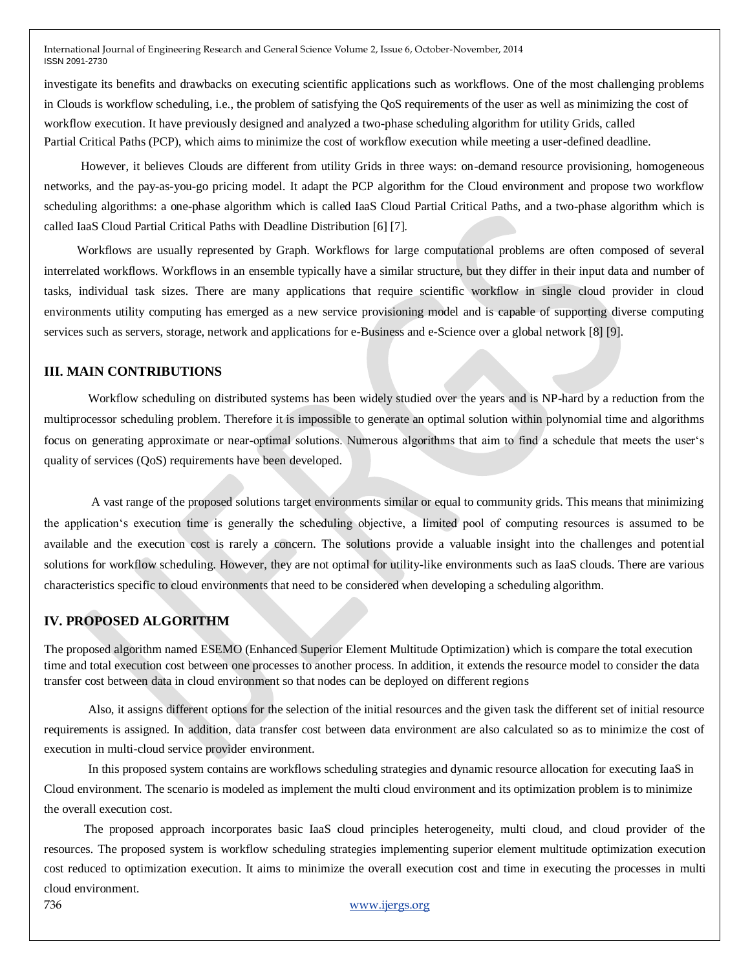investigate its benefits and drawbacks on executing scientific applications such as workflows. One of the most challenging problems in Clouds is workflow scheduling, i.e., the problem of satisfying the QoS requirements of the user as well as minimizing the cost of workflow execution. It have previously designed and analyzed a two-phase scheduling algorithm for utility Grids, called Partial Critical Paths (PCP), which aims to minimize the cost of workflow execution while meeting a user-defined deadline.

However, it believes Clouds are different from utility Grids in three ways: on-demand resource provisioning, homogeneous networks, and the pay-as-you-go pricing model. It adapt the PCP algorithm for the Cloud environment and propose two workflow scheduling algorithms: a one-phase algorithm which is called IaaS Cloud Partial Critical Paths, and a two-phase algorithm which is called IaaS Cloud Partial Critical Paths with Deadline Distribution [6] [7].

Workflows are usually represented by Graph. Workflows for large computational problems are often composed of several interrelated workflows. Workflows in an ensemble typically have a similar structure, but they differ in their input data and number of tasks, individual task sizes. There are many applications that require scientific workflow in single cloud provider in cloud environments utility computing has emerged as a new service provisioning model and is capable of supporting diverse computing services such as servers, storage, network and applications for e-Business and e-Science over a global network [8] [9].

#### **III. MAIN CONTRIBUTIONS**

Workflow scheduling on distributed systems has been widely studied over the years and is NP-hard by a reduction from the multiprocessor scheduling problem. Therefore it is impossible to generate an optimal solution within polynomial time and algorithms focus on generating approximate or near-optimal solutions. Numerous algorithms that aim to find a schedule that meets the user's quality of services (QoS) requirements have been developed.

A vast range of the proposed solutions target environments similar or equal to community grids. This means that minimizing the application's execution time is generally the scheduling objective, a limited pool of computing resources is assumed to be available and the execution cost is rarely a concern. The solutions provide a valuable insight into the challenges and potential solutions for workflow scheduling. However, they are not optimal for utility-like environments such as IaaS clouds. There are various characteristics specific to cloud environments that need to be considered when developing a scheduling algorithm.

#### **IV. PROPOSED ALGORITHM**

The proposed algorithm named ESEMO (Enhanced Superior Element Multitude Optimization) which is compare the total execution time and total execution cost between one processes to another process. In addition, it extends the resource model to consider the data transfer cost between data in cloud environment so that nodes can be deployed on different regions

Also, it assigns different options for the selection of the initial resources and the given task the different set of initial resource requirements is assigned. In addition, data transfer cost between data environment are also calculated so as to minimize the cost of execution in multi-cloud service provider environment.

In this proposed system contains are workflows scheduling strategies and dynamic resource allocation for executing IaaS in Cloud environment. The scenario is modeled as implement the multi cloud environment and its optimization problem is to minimize the overall execution cost.

 The proposed approach incorporates basic IaaS cloud principles heterogeneity, multi cloud, and cloud provider of the resources. The proposed system is workflow scheduling strategies implementing superior element multitude optimization execution cost reduced to optimization execution. It aims to minimize the overall execution cost and time in executing the processes in multi cloud environment.

736 www.ijergs.org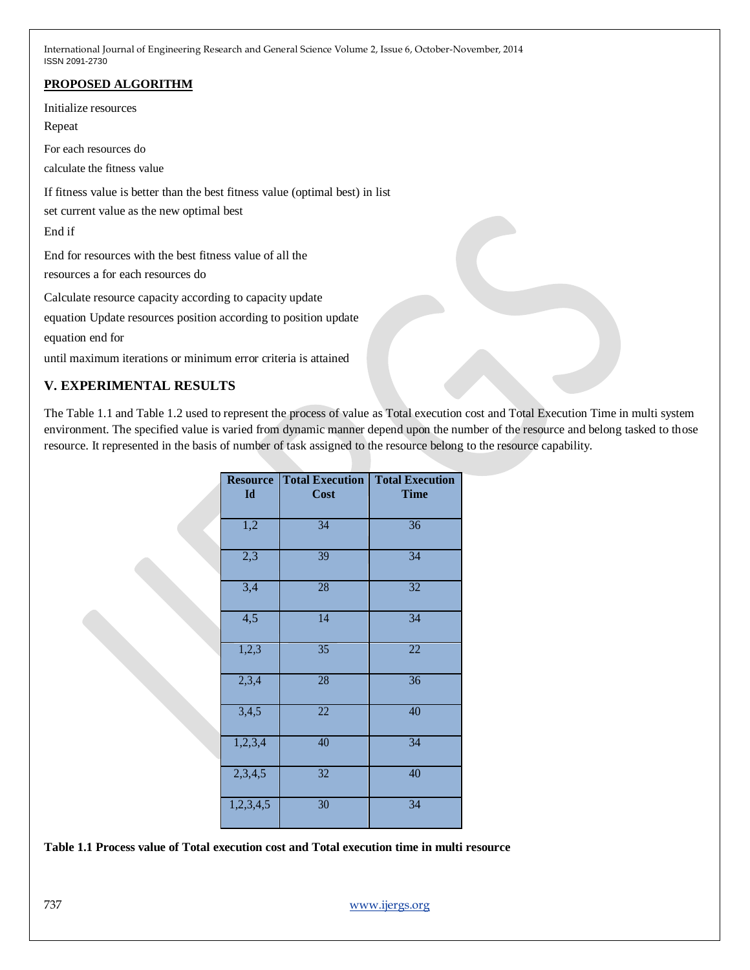## **PROPOSED ALGORITHM**

Initialize resources

Repeat

For each resources do

calculate the fitness value

If fitness value is better than the best fitness value (optimal best) in list

set current value as the new optimal best

End if

End for resources with the best fitness value of all the resources a for each resources do

Calculate resource capacity according to capacity update

equation Update resources position according to position update

equation end for

until maximum iterations or minimum error criteria is attained

## **V. EXPERIMENTAL RESULTS**

The Table 1.1 and Table 1.2 used to represent the process of value as Total execution cost and Total Execution Time in multi system environment. The specified value is varied from dynamic manner depend upon the number of the resource and belong tasked to those resource. It represented in the basis of number of task assigned to the resource belong to the resource capability.

| <b>Resource</b><br>Id | <b>Total Execution</b><br>Cost | <b>Total Execution</b><br><b>Time</b> |
|-----------------------|--------------------------------|---------------------------------------|
| $\overline{1,2}$      | $\overline{34}$                | 36                                    |
| 2,3                   | $\overline{39}$                | 34                                    |
| 3,4                   | $\overline{28}$                | $\overline{32}$                       |
| $\overline{4,5}$      | 14                             | $\overline{34}$                       |
| 1,2,3                 | 35                             | 22                                    |
| 2,3,4                 | 28                             | $\overline{36}$                       |
| 3,4,5                 | $\overline{22}$                | 40                                    |
| 1,2,3,4               | 40                             | $\overline{34}$                       |
| 2,3,4,5               | 32                             | 40                                    |
| 1,2,3,4,5             | 30                             | $\overline{34}$                       |

**Table 1.1 Process value of Total execution cost and Total execution time in multi resource**

737 www.ijergs.org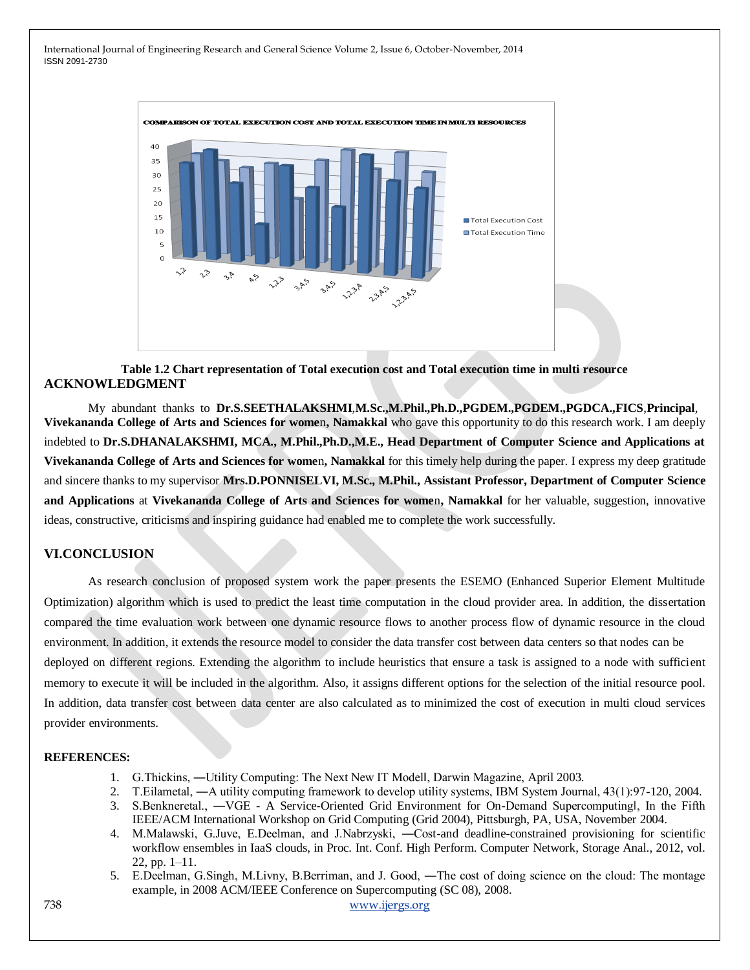

**Table 1.2 Chart representation of Total execution cost and Total execution time in multi resource ACKNOWLEDGMENT**

My abundant thanks to **Dr.S.SEETHALAKSHMI**,**M.Sc.,M.Phil.,Ph.D.,PGDEM.,PGDEM.,PGDCA.,FICS**,**Principal**, **Vivekananda College of Arts and Sciences for wome**n**, Namakkal** who gave this opportunity to do this research work. I am deeply indebted to **Dr.S.DHANALAKSHMI, MCA., M.Phil.,Ph.D.,M.E., Head Department of Computer Science and Applications at Vivekananda College of Arts and Sciences for wome**n**, Namakkal** for this timely help during the paper. I express my deep gratitude and sincere thanks to my supervisor **Mrs.D.PONNISELVI, M.Sc., M.Phil., Assistant Professor, Department of Computer Science and Applications** at **Vivekananda College of Arts and Sciences for wome**n**, Namakkal** for her valuable, suggestion, innovative ideas, constructive, criticisms and inspiring guidance had enabled me to complete the work successfully.

#### **VI.CONCLUSION**

As research conclusion of proposed system work the paper presents the ESEMO (Enhanced Superior Element Multitude Optimization) algorithm which is used to predict the least time computation in the cloud provider area. In addition, the dissertation compared the time evaluation work between one dynamic resource flows to another process flow of dynamic resource in the cloud environment. In addition, it extends the resource model to consider the data transfer cost between data centers so that nodes can be deployed on different regions. Extending the algorithm to include heuristics that ensure a task is assigned to a node with sufficient memory to execute it will be included in the algorithm. Also, it assigns different options for the selection of the initial resource pool. In addition, data transfer cost between data center are also calculated as to minimized the cost of execution in multi cloud services provider environments.

#### **REFERENCES:**

- 1. G.Thickins, ―Utility Computing: The Next New IT Model‖, Darwin Magazine, April 2003.
- 2. T.Eilametal, ―A utility computing framework to develop utility systems, IBM System Journal, 43(1):97-120, 2004.
- 3. S.Benkneretal., —VGE A Service-Oriented Grid Environment for On-Demand Supercomputingl, In the Fifth IEEE/ACM International Workshop on Grid Computing (Grid 2004), Pittsburgh, PA, USA, November 2004.
- 4. M.Malawski, G.Juve, E.Deelman, and J.Nabrzyski, ―Cost-and deadline-constrained provisioning for scientific workflow ensembles in IaaS clouds, in Proc. Int. Conf. High Perform. Computer Network, Storage Anal., 2012, vol. 22, pp. 1–11.
- 5. E.Deelman, G.Singh, M.Livny, B.Berriman, and J. Good, ―The cost of doing science on the cloud: The montage example, in 2008 ACM/IEEE Conference on Supercomputing (SC 08), 2008.

738 www.ijergs.org